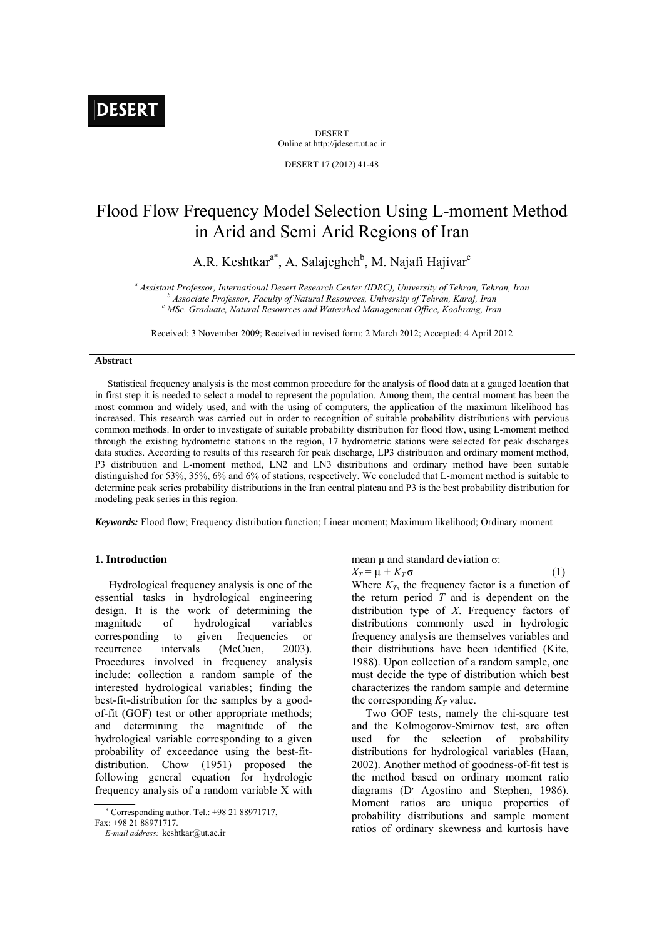DESERT Online at http://jdesert.ut.ac.ir

DESERT 17 (2012) 41-48

# Flood Flow Frequency Model Selection Using L-moment Method in Arid and Semi Arid Regions of Iran

A.R. Keshtkar<sup>a\*</sup>, A. Salajegheh<sup>b</sup>, M. Najafi Hajivar<sup>c</sup>

<sup>a</sup> Assistant Professor, International Desert Research Center (IDRC), University of Tehran, Tehran, Iran b<br>b Associate Puebesca: Equilibries of Natural Pesquises University of Tehran, Kayai, Iran  *Associate Professor, Faculty of Natural Resources, University of Tehran, Karaj, Iran c MSc. Graduate, Natural Resources and Watershed Management Office, Koohrang, Iran* 

Received: 3 November 2009; Received in revised form: 2 March 2012; Accepted: 4 April 2012

## **Abstract**

 Statistical frequency analysis is the most common procedure for the analysis of flood data at a gauged location that in first step it is needed to select a model to represent the population. Among them, the central moment has been the most common and widely used, and with the using of computers, the application of the maximum likelihood has increased. This research was carried out in order to recognition of suitable probability distributions with pervious common methods. In order to investigate of suitable probability distribution for flood flow, using L-moment method through the existing hydrometric stations in the region, 17 hydrometric stations were selected for peak discharges data studies. According to results of this research for peak discharge, LP3 distribution and ordinary moment method, P3 distribution and L-moment method, LN2 and LN3 distributions and ordinary method have been suitable distinguished for 53%, 35%, 6% and 6% of stations, respectively. We concluded that L-moment method is suitable to determine peak series probability distributions in the Iran central plateau and P3 is the best probability distribution for modeling peak series in this region.

*Keywords:* Flood flow; Frequency distribution function; Linear moment; Maximum likelihood; Ordinary moment

## **1. Introduction**

 Hydrological frequency analysis is one of the essential tasks in hydrological engineering design. It is the work of determining the magnitude of hydrological variables corresponding to given frequencies or recurrence intervals (McCuen, 2003). Procedures involved in frequency analysis include: collection a random sample of the interested hydrological variables; finding the best-fit-distribution for the samples by a goodof-fit (GOF) test or other appropriate methods; and determining the magnitude of the hydrological variable corresponding to a given probability of exceedance using the best-fitdistribution. Chow (1951) proposed the following general equation for hydrologic frequency analysis of a random variable X with

Corresponding author. Tel.: +98 21 88971717,

Fax: +98 21 88971717.

mean μ and standard deviation σ:

 $X_T = \mu + K_T \sigma$  (1) Where  $K_T$ , the frequency factor is a function of the return period *T* and is dependent on the distribution type of *X*. Frequency factors of distributions commonly used in hydrologic frequency analysis are themselves variables and their distributions have been identified (Kite, 1988). Upon collection of a random sample, one must decide the type of distribution which best characterizes the random sample and determine the corresponding  $K_T$  value.

 Two GOF tests, namely the chi-square test and the Kolmogorov-Smirnov test, are often used for the selection of probability distributions for hydrological variables (Haan, 2002). Another method of goodness-of-fit test is the method based on ordinary moment ratio diagrams (D<sup>,</sup> Agostino and Stephen, 1986). Moment ratios are unique properties of probability distributions and sample moment ratios of ordinary skewness and kurtosis have

*E-mail address:* keshtkar@ut.ac.ir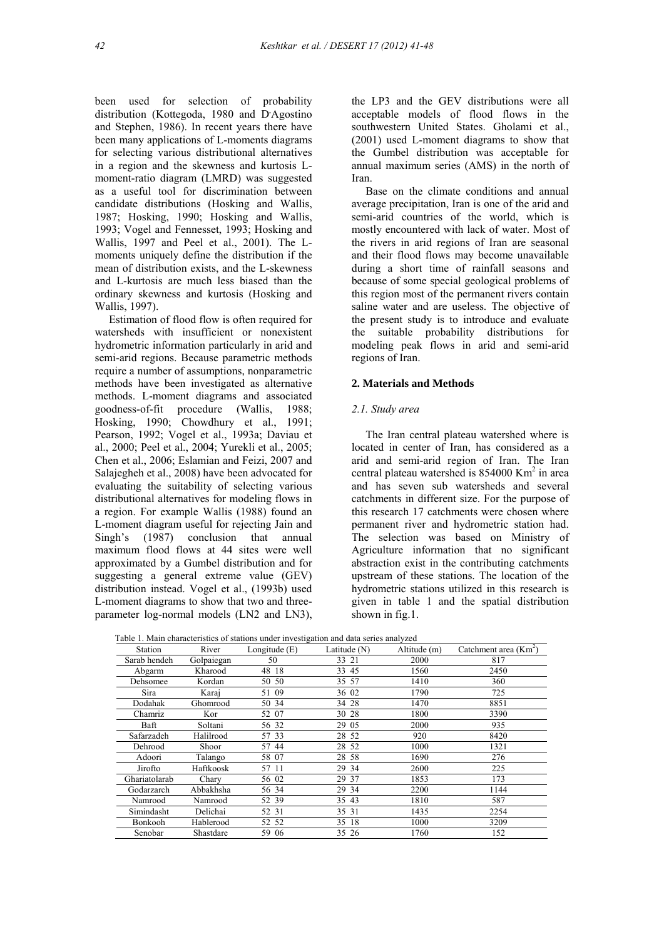been used for selection of probability distribution (Kottegoda, 1980 and D'Agostino and Stephen, 1986). In recent years there have been many applications of L-moments diagrams for selecting various distributional alternatives in a region and the skewness and kurtosis Lmoment-ratio diagram (LMRD) was suggested as a useful tool for discrimination between candidate distributions (Hosking and Wallis, 1987; Hosking, 1990; Hosking and Wallis, 1993; Vogel and Fennesset, 1993; Hosking and Wallis, 1997 and Peel et al., 2001). The Lmoments uniquely define the distribution if the mean of distribution exists, and the L-skewness and L-kurtosis are much less biased than the ordinary skewness and kurtosis (Hosking and Wallis, 1997).

 Estimation of flood flow is often required for watersheds with insufficient or nonexistent hydrometric information particularly in arid and semi-arid regions. Because parametric methods require a number of assumptions, nonparametric methods have been investigated as alternative methods. L-moment diagrams and associated goodness-of-fit procedure (Wallis, 1988; Hosking, 1990; Chowdhury et al., 1991; Pearson, 1992; Vogel et al., 1993a; Daviau et al., 2000; Peel et al., 2004; Yurekli et al., 2005; Chen et al., 2006; Eslamian and Feizi, 2007 and Salajegheh et al., 2008) have been advocated for evaluating the suitability of selecting various distributional alternatives for modeling flows in a region. For example Wallis (1988) found an L-moment diagram useful for rejecting Jain and Singh's (1987) conclusion that annual maximum flood flows at 44 sites were well approximated by a Gumbel distribution and for suggesting a general extreme value (GEV) distribution instead. Vogel et al., (1993b) used L-moment diagrams to show that two and threeparameter log-normal models (LN2 and LN3), the LP3 and the GEV distributions were all acceptable models of flood flows in the southwestern United States. Gholami et al., (2001) used L-moment diagrams to show that the Gumbel distribution was acceptable for annual maximum series (AMS) in the north of Iran.

 Base on the climate conditions and annual average precipitation, Iran is one of the arid and semi-arid countries of the world, which is mostly encountered with lack of water. Most of the rivers in arid regions of Iran are seasonal and their flood flows may become unavailable during a short time of rainfall seasons and because of some special geological problems of this region most of the permanent rivers contain saline water and are useless. The objective of the present study is to introduce and evaluate the suitable probability distributions for modeling peak flows in arid and semi-arid regions of Iran.

# **2. Materials and Methods**

## *2.1. Study area*

 The Iran central plateau watershed where is located in center of Iran, has considered as a arid and semi-arid region of Iran. The Iran central plateau watershed is 854000 Km<sup>2</sup> in area and has seven sub watersheds and several catchments in different size. For the purpose of this research 17 catchments were chosen where permanent river and hydrometric station had. The selection was based on Ministry of Agriculture information that no significant abstraction exist in the contributing catchments upstream of these stations. The location of the hydrometric stations utilized in this research is given in table 1 and the spatial distribution shown in fig.1.

| Station       | River      | Longitude $(E)$ | Latitude $(N)$ | Altitude (m) | Catchment area $(Km2)$ |
|---------------|------------|-----------------|----------------|--------------|------------------------|
| Sarab hendeh  | Golpaiegan | 50              | 33 21          | 2000         | 817                    |
| Abgarm        | Kharood    | 48 18           | 33 45          | 1560         | 2450                   |
| Dehsomee      | Kordan     | 50 50           | 35 57          | 1410         | 360                    |
| Sira          | Karai      | 51 09           | 36 02          | 1790         | 725                    |
| Dodahak       | Ghomrood   | 50 34           | 34 28          | 1470         | 8851                   |
| Chamriz       | Kor        | 52 07           | 30 28          | 1800         | 3390                   |
| Baft          | Soltani    | 56 32           | 29 05          | 2000         | 935                    |
| Safarzadeh    | Halilrood  | 57 33           | 28 52          | 920          | 8420                   |
| Dehrood       | Shoor      | 57 44           | 28 52          | 1000         | 1321                   |
| Adoori        | Talango    | 58 07           | 28 58          | 1690         | 276                    |
| Jirofto       | Haftkoosk  | 57 11           | 29 34          | 2600         | 225                    |
| Ghariatolarab | Chary      | 56 02           | 29 37          | 1853         | 173                    |
| Godarzarch    | Abbakhsha  | 56 34           | 29 34          | 2200         | 1144                   |
| Namrood       | Namrood    | 52 39           | 35 43          | 1810         | 587                    |
| Simindasht    | Delichai   | 52 31           | 35 31          | 1435         | 2254                   |
| Bonkooh       | Hablerood  | 52 52           | 35 18          | 1000         | 3209                   |
| Senobar       | Shastdare  | 59 06           | 35 26          | 1760         | 152                    |

Table 1. Main characteristics of stations under investigation and data series analyzed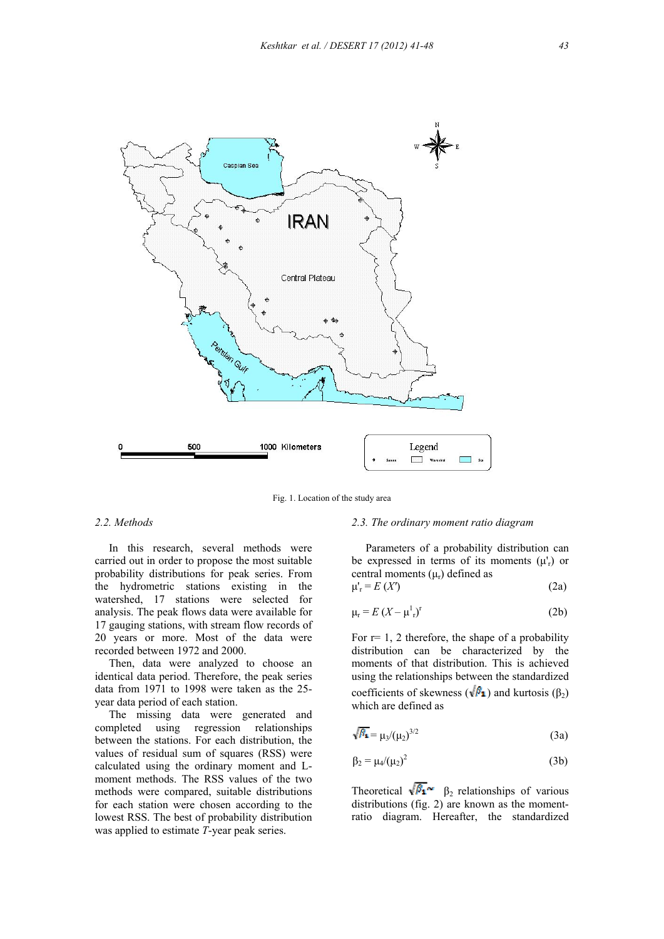

Fig. 1. Location of the study area

## *2.2. Methods*

 In this research, several methods were carried out in order to propose the most suitable probability distributions for peak series. From the hydrometric stations existing in the watershed, 17 stations were selected for analysis. The peak flows data were available for 17 gauging stations, with stream flow records of 20 years or more. Most of the data were recorded between 1972 and 2000.

 Then, data were analyzed to choose an identical data period. Therefore, the peak series data from 1971 to 1998 were taken as the 25 year data period of each station.

 The missing data were generated and completed using regression relationships between the stations. For each distribution, the values of residual sum of squares (RSS) were calculated using the ordinary moment and Lmoment methods. The RSS values of the two methods were compared, suitable distributions for each station were chosen according to the lowest RSS. The best of probability distribution was applied to estimate *T*-year peak series.

#### *2.3. The ordinary moment ratio diagram*

 Parameters of a probability distribution can be expressed in terms of its moments  $(\mu'_r)$  or central moments  $(\mu_r)$  defined as

$$
\mu_{\rm r} = E\left(X'\right) \tag{2a}
$$

$$
\mu_{\rm r} = E \left( X - \mu_{\rm r}^1 \right)^{\rm r} \tag{2b}
$$

For  $r=1$ , 2 therefore, the shape of a probability distribution can be characterized by the moments of that distribution. This is achieved using the relationships between the standardized coefficients of skewness ( $\sqrt{\beta_1}$ ) and kurtosis ( $\beta_2$ ) which are defined as

$$
\sqrt{\beta_1} = \mu_3/(\mu_2)^{3/2} \tag{3a}
$$

$$
\beta_2 = \mu_4/(\mu_2)^2 \tag{3b}
$$

Theoretical  $\sqrt{\beta_1}$   $\sim$   $\beta_2$  relationships of various distributions (fig. 2) are known as the momentratio diagram. Hereafter, the standardized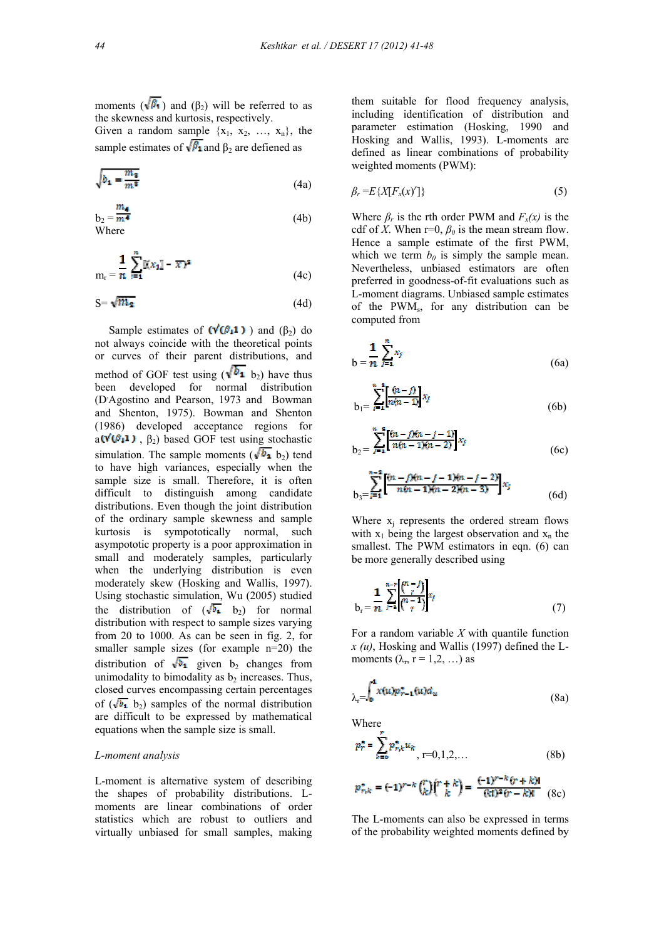moments ( $\sqrt{\beta_1}$ ) and ( $\beta_2$ ) will be referred to as the skewness and kurtosis, respectively.

Given a random sample  $\{x_1, x_2, ..., x_n\}$ , the sample estimates of  $\sqrt{\beta_1}$  and  $\beta_2$  are defiened as

$$
\sqrt{b_1 = \frac{m_3}{m^8}}\tag{4a}
$$

$$
b_2 = \frac{m_4}{m^4}
$$
 (4b)  
Where

$$
m_r = \frac{1}{n} \sum_{i=1}^{n} \mathbb{K} [x_i] - \overline{x}^2
$$
 (4c)

$$
S = \sqrt{m_2} \tag{4d}
$$

Sample estimates of  $(\sqrt{\theta_1} \cdot 1)$  and (β<sub>2</sub>) do not always coincide with the theoretical points or curves of their parent distributions, and method of GOF test using ( $\sqrt{b_1}$  b<sub>2</sub>) have thus been developed for normal distribution (D, Agostino and Pearson, 1973 and Bowman and Shenton, 1975). Bowman and Shenton (1986) developed acceptance regions for a( $\mathbf{v}'(\mathcal{B}_1 \mathbf{1})$ , β<sub>2</sub>) based GOF test using stochastic simulation. The sample moments ( $\sqrt{b_1}$  b<sub>2</sub>) tend to have high variances, especially when the sample size is small. Therefore, it is often difficult to distinguish among candidate distributions. Even though the joint distribution of the ordinary sample skewness and sample kurtosis is sympototically normal, such asympototic property is a poor approximation in small and moderately samples, particularly when the underlying distribution is even moderately skew (Hosking and Wallis, 1997). Using stochastic simulation, Wu (2005) studied the distribution of  $(\sqrt{b_1} b_2)$  for normal distribution with respect to sample sizes varying from 20 to 1000. As can be seen in fig. 2, for smaller sample sizes (for example  $n=20$ ) the distribution of  $\sqrt{b_1}$  given b<sub>2</sub> changes from unimodality to bimodality as  $b_2$  increases. Thus, closed curves encompassing certain percentages of  $(\sqrt{b_1} b_2)$  samples of the normal distribution are difficult to be expressed by mathematical equations when the sample size is small.

### *L-moment analysis*

L-moment is alternative system of describing the shapes of probability distributions. Lmoments are linear combinations of order statistics which are robust to outliers and virtually unbiased for small samples, making them suitable for flood frequency analysis, including identification of distribution and parameter estimation (Hosking, 1990 and Hosking and Wallis, 1993). L-moments are defined as linear combinations of probability weighted moments (PWM):

$$
\beta_r = E\{X[F_x(x)^r]\}\tag{5}
$$

Where  $\beta_r$  is the rth order PWM and  $F_x(x)$  is the cdf of *X*. When  $r=0$ ,  $\beta_0$  is the mean stream flow. Hence a sample estimate of the first PWM, which we term  $b_0$  is simply the sample mean. Nevertheless, unbiased estimators are often preferred in goodness-of-fit evaluations such as L-moment diagrams. Unbiased sample estimates of the PWMs, for any distribution can be computed from

$$
b = \frac{1}{n} \sum_{j=1}^{n} x_j
$$
 (6a)

$$
b_1 = \sum_{i=1}^{n-1} \left[ \frac{\hat{v}_i - \hat{v}_i}{n\hat{v}_i - 1} \right] x_i \tag{6b}
$$

$$
b_2 = \sum_{j=1}^{n} \left[ \frac{(n-j)(n-j-1)}{n(n-1)(n-2)} \right] x_j \tag{6c}
$$

$$
b_3 = \sum_{j=1}^{n-2} \left[ \frac{(n-j)(n-j-1)(n-j-2)}{n(n-1)(n-2)(n-3)} x_j \right]
$$
\n(6d)

Where  $x_i$  represents the ordered stream flows with  $x_1$  being the largest observation and  $x_n$  the smallest. The PWM estimators in eqn. (6) can be more generally described using

$$
b_r = \frac{1}{n} \sum_{j=1}^{n-r} \binom{n-j}{r} x_j
$$
\n
$$
(7)
$$

For a random variable *X* with quantile function *x (u)*, Hosking and Wallis (1997) defined the Lmoments  $(\lambda_r, r = 1, 2, ...)$  as

$$
\lambda_r = \int_0^4 x(u) p_{r-1}^*(u) d_u \tag{8a}
$$

Where

$$
p_r^* = \sum_{k=0}^r p_{r,k}^* u_k, \, r = 0, 1, 2, \dots \tag{8b}
$$

$$
p_{r,k}^* = (-1)^{r-k} {r \choose k} {r+k \choose k} = \frac{(-1)^{r-k} (r+k)!}{(k!)^2 (r-k)!} \quad (8c)
$$

The L-moments can also be expressed in terms of the probability weighted moments defined by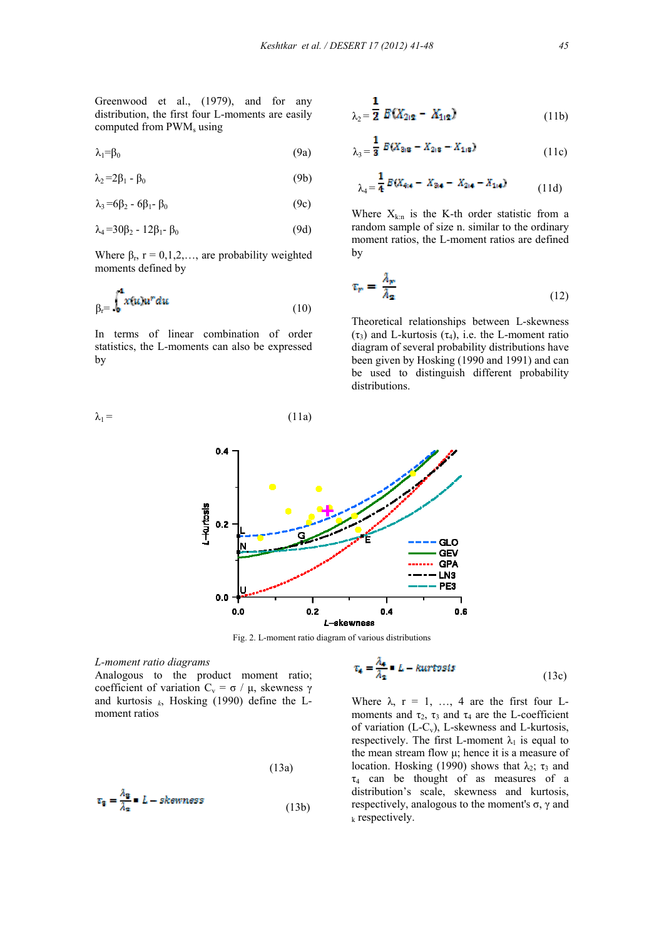Greenwood et al., (1979), and for any distribution, the first four L-moments are easily computed from PWM<sub>s</sub> using

$$
\lambda_1 = \beta_0 \tag{9a}
$$

$$
\lambda_2 = 2\beta_1 - \beta_0 \tag{9b}
$$

$$
\lambda_3 = 6\beta_2 - 6\beta_1 - \beta_0 \tag{9c}
$$

$$
\lambda_4 = 30\beta_2 - 12\beta_1 - \beta_0 \tag{9d}
$$

Where  $\beta_r$ ,  $r = 0,1,2,...$ , are probability weighted moments defined by

$$
\beta_r = \int_0^4 x(u)u^r du \tag{10}
$$

In terms of linear combination of order statistics, the L-moments can also be expressed by

 $\lambda_1 =$  (11a)

$$
\lambda_2 = \frac{1}{2} E(X_{212} - X_{112})
$$
 (11b)

$$
\lambda_3 = \frac{1}{3} E(X_{2/8} - X_{2/8} - X_{1/8})
$$
 (11c)

$$
\lambda_4 = \frac{1}{4} E(X_{4;4} - X_{3;4} - X_{2;4} - X_{1;4})
$$
 (11d)

Where  $X_{k:n}$  is the K-th order statistic from a random sample of size n. similar to the ordinary moment ratios, the L-moment ratios are defined by

$$
\tau_r = \frac{\lambda_r}{\lambda_2} \tag{12}
$$

Theoretical relationships between L-skewness (τ<sub>3</sub>) and L-kurtosis (τ<sub>4</sub>), i.e. the L-moment ratio diagram of several probability distributions have been given by Hosking (1990 and 1991) and can be used to distinguish different probability distributions.



Fig. 2. L-moment ratio diagram of various distributions

*L-moment ratio diagrams* 

Analogous to the product moment ratio; coefficient of variation  $C_v = \sigma / \mu$ , skewness γ and kurtosis  $_k$ , Hosking (1990) define the Lmoment ratios

$$
(13a)
$$

$$
\tau_{\mathbf{g}} = \frac{\lambda_{\mathbf{g}}}{\lambda_{\mathbf{g}}} = L - skewness
$$
 (13b)

$$
\tau_4 = \frac{\lambda_4}{\lambda_2} = L - kurtosis \tag{13c}
$$

Where  $\lambda$ ,  $r = 1$ , ..., 4 are the first four Lmoments and  $\tau_2$ ,  $\tau_3$  and  $\tau_4$  are the L-coefficient of variation (L-Cv), L-skewness and L-kurtosis, respectively. The first L-moment  $\lambda_1$  is equal to the mean stream flow μ; hence it is a measure of location. Hosking (1990) shows that  $\lambda_2$ ;  $\tau_3$  and  $\tau_4$  can be thought of as measures of a distribution's scale, skewness and kurtosis, respectively, analogous to the moment's  $\sigma$ , γ and  $k$  respectively.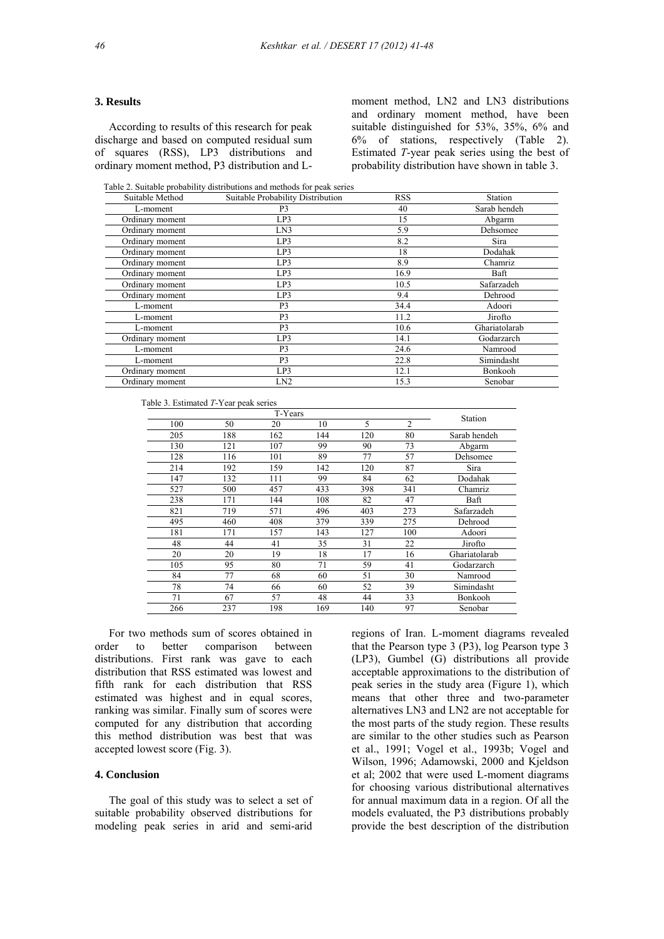#### **3. Results**

 According to results of this research for peak discharge and based on computed residual sum of squares (RSS), LP3 distributions and ordinary moment method, P3 distribution and L-

moment method, LN2 and LN3 distributions and ordinary moment method, have been suitable distinguished for 53%, 35%, 6% and 6% of stations, respectively (Table 2). Estimated *T*-year peak series using the best of probability distribution have shown in table 3.

Table 2. Suitable probability distributions and methods for peak series

| Suitable Method | Suitable Probability Distribution | <b>RSS</b> | Station       |
|-----------------|-----------------------------------|------------|---------------|
| L-moment        | P3                                | 40         | Sarab hendeh  |
| Ordinary moment | LP3                               | 15         | Abgarm        |
| Ordinary moment | LN3                               | 5.9        | Dehsomee      |
| Ordinary moment | LP3                               | 8.2        | Sira          |
| Ordinary moment | LP3                               | 18         | Dodahak       |
| Ordinary moment | LP3                               | 8.9        | Chamriz       |
| Ordinary moment | LP3                               | 16.9       | Baft          |
| Ordinary moment | LP3                               | 10.5       | Safarzadeh    |
| Ordinary moment | LP3                               | 9.4        | Dehrood       |
| L-moment        | P3                                | 34.4       | Adoori        |
| L-moment        | P <sub>3</sub>                    | 11.2       | Jirofto       |
| L-moment        | P <sub>3</sub>                    | 10.6       | Ghariatolarab |
| Ordinary moment | LP3                               | 14.1       | Godarzarch    |
| L-moment        | P <sub>3</sub>                    | 24.6       | Namrood       |
| L-moment        | P <sub>3</sub>                    | 22.8       | Simindasht    |
| Ordinary moment | LP3                               | 12.1       | Bonkooh       |
| Ordinary moment | LN2                               | 15.3       | Senobar       |

| Table 3. Estimated T-Year peak series |
|---------------------------------------|
|---------------------------------------|

|     |     | T-Years |     |     |                | Station       |
|-----|-----|---------|-----|-----|----------------|---------------|
| 100 | 50  | 20      | 10  | 5   | $\overline{2}$ |               |
| 205 | 188 | 162     | 144 | 120 | 80             | Sarab hendeh  |
| 130 | 121 | 107     | 99  | 90  | 73             | Abgarm        |
| 128 | 116 | 101     | 89  | 77  | 57             | Dehsomee      |
| 214 | 192 | 159     | 142 | 120 | 87             | Sira          |
| 147 | 132 | 111     | 99  | 84  | 62             | Dodahak       |
| 527 | 500 | 457     | 433 | 398 | 341            | Chamriz       |
| 238 | 171 | 144     | 108 | 82  | 47             | Baft          |
| 821 | 719 | 571     | 496 | 403 | 273            | Safarzadeh    |
| 495 | 460 | 408     | 379 | 339 | 275            | Dehrood       |
| 181 | 171 | 157     | 143 | 127 | 100            | Adoori        |
| 48  | 44  | 41      | 35  | 31  | 22             | Jirofto       |
| 20  | 20  | 19      | 18  | 17  | 16             | Ghariatolarab |
| 105 | 95  | 80      | 71  | 59  | 41             | Godarzarch    |
| 84  | 77  | 68      | 60  | 51  | 30             | Namrood       |
| 78  | 74  | 66      | 60  | 52  | 39             | Simindasht    |
| 71  | 67  | 57      | 48  | 44  | 33             | Bonkooh       |
| 266 | 237 | 198     | 169 | 140 | 97             | Senobar       |

For two methods sum of scores obtained in<br>ter to better comparison between order to better comparison between distributions. First rank was gave to each distribution that RSS estimated was lowest and fifth rank for each distribution that RSS estimated was highest and in equal scores, ranking was similar. Finally sum of scores were computed for any distribution that according this method distribution was best that was accepted lowest score (Fig. 3).

# **4. Conclusion**

 The goal of this study was to select a set of suitable probability observed distributions for modeling peak series in arid and semi-arid regions of Iran. L-moment diagrams revealed that the Pearson type 3 (P3), log Pearson type 3 (LP3), Gumbel (G) distributions all provide acceptable approximations to the distribution of peak series in the study area (Figure 1), which means that other three and two-parameter alternatives LN3 and LN2 are not acceptable for the most parts of the study region. These results are similar to the other studies such as Pearson et al., 1991; Vogel et al., 1993b; Vogel and Wilson, 1996; Adamowski, 2000 and Kjeldson et al; 2002 that were used L-moment diagrams for choosing various distributional alternatives for annual maximum data in a region. Of all the models evaluated, the P3 distributions probably provide the best description of the distribution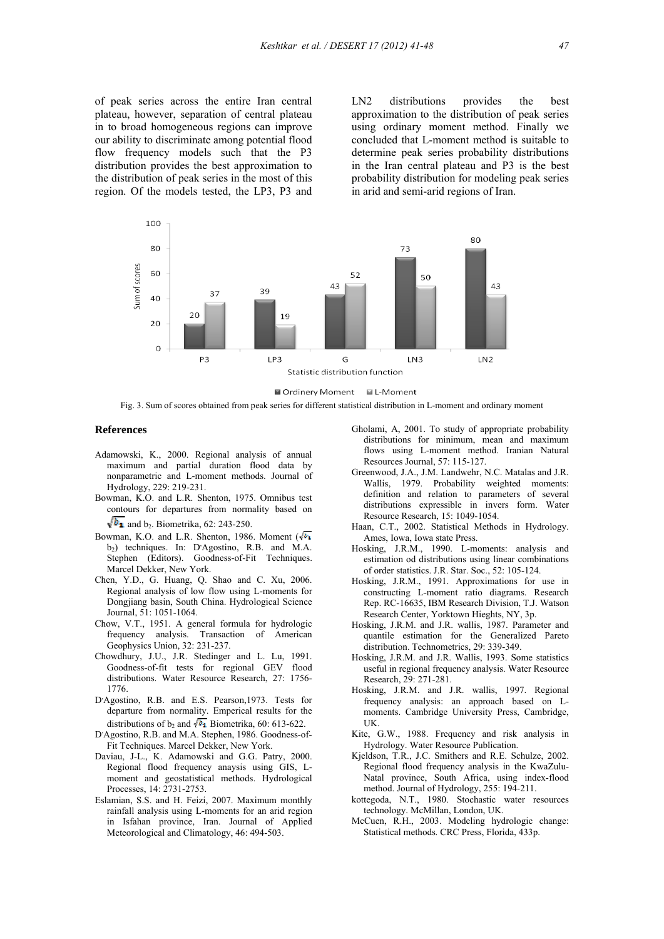of peak series across the entire Iran central plateau, however, separation of central plateau in to broad homogeneous regions can improve our ability to discriminate among potential flood flow frequency models such that the P3 distribution provides the best approximation to the distribution of peak series in the most of this region. Of the models tested, the LP3, P3 and LN2 distributions provides the best approximation to the distribution of peak series using ordinary moment method. Finally we concluded that L-moment method is suitable to determine peak series probability distributions in the Iran central plateau and P3 is the best probability distribution for modeling peak series in arid and semi-arid regions of Iran.





Fig. 3. Sum of scores obtained from peak series for different statistical distribution in L-moment and ordinary moment

#### **References**

- Adamowski, K., 2000. Regional analysis of annual maximum and partial duration flood data by nonparametric and L-moment methods. Journal of Hydrology, 229: 219-231.
- Bowman, K.O. and L.R. Shenton, 1975. Omnibus test contours for departures from normality based on  $\sqrt{b_1}$  and b<sub>2</sub>. Biometrika, 62: 243-250.
- Bowman, K.O. and L.R. Shenton, 1986. Moment  $(\sqrt{b_1})$ b<sub>2</sub>) techniques. In: D'Agostino, R.B. and M.A. Stephen (Editors). Goodness-of-Fit Techniques. Marcel Dekker, New York.
- Chen, Y.D., G. Huang, Q. Shao and C. Xu, 2006. Regional analysis of low flow using L-moments for Dongjiang basin, South China. Hydrological Science Journal, 51: 1051-1064.
- Chow, V.T., 1951. A general formula for hydrologic frequency analysis. Transaction of American Geophysics Union, 32: 231-237.
- Chowdhury, J.U., J.R. Stedinger and L. Lu, 1991. Goodness-of-fit tests for regional GEV flood distributions. Water Resource Research, 27: 1756- 1776.
- D'Agostino, R.B. and E.S. Pearson, 1973. Tests for departure from normality. Emperical results for the distributions of b<sub>2</sub> and  $\sqrt{b_1}$  Biometrika, 60: 613-622.
- D'Agostino, R.B. and M.A. Stephen, 1986. Goodness-of-Fit Techniques. Marcel Dekker, New York.
- Daviau, J-L., K. Adamowski and G.G. Patry, 2000. Regional flood frequency anaysis using GIS, L moment and geostatistical methods. Hydrological Processes, 14: 2731-2753.
- Eslamian, S.S. and H. Feizi, 2007. Maximum monthly rainfall analysis using L-moments for an arid region in Isfahan province, Iran. Journal of Applied Meteorological and Climatology, 46: 494-503.
- Gholami, A, 2001. To study of appropriate probability distributions for minimum, mean and maximum flows using L-moment method. Iranian Natural Resources Journal, 57: 115-127.
- Greenwood, J.A., J.M. Landwehr, N.C. Matalas and J.R. Wallis, 1979. Probability weighted moments: definition and relation to parameters of several distributions expressible in invers form. Water Resource Research, 15: 1049-1054.
- Haan, C.T., 2002. Statistical Methods in Hydrology. Ames, Iowa, Iowa state Press.
- Hosking, J.R.M., 1990. L-moments: analysis and estimation od distributions using linear combinations of order statistics. J.R. Star. Soc., 52: 105-124.
- Hosking, J.R.M., 1991. Approximations for use in constructing L-moment ratio diagrams. Research Rep. RC-16635, IBM Research Division, T.J. Watson Research Center, Yorktown Hieghts, NY, 3p.
- Hosking, J.R.M. and J.R. wallis, 1987. Parameter and quantile estimation for the Generalized Pareto distribution. Technometrics, 29: 339-349.
- Hosking, J.R.M. and J.R. Wallis, 1993. Some statistics useful in regional frequency analysis. Water Resource Research, 29: 271-281.
- Hosking, J.R.M. and J.R. wallis, 1997. Regional frequency analysis: an approach based on L moments. Cambridge University Press, Cambridge, UK.
- Kite, G.W., 1988. Frequency and risk analysis in Hydrology. Water Resource Publication.
- Kjeldson, T.R., J.C. Smithers and R.E. Schulze, 2002. Regional flood frequency analysis in the KwaZulu- Natal province, South Africa, using index-flood method. Journal of Hydrology, 255: 194-211.
- kottegoda, N.T., 1980. Stochastic water resources technology. McMillan, London, UK.
- McCuen, R.H., 2003. Modeling hydrologic change: Statistical methods. CRC Press, Florida, 433p.